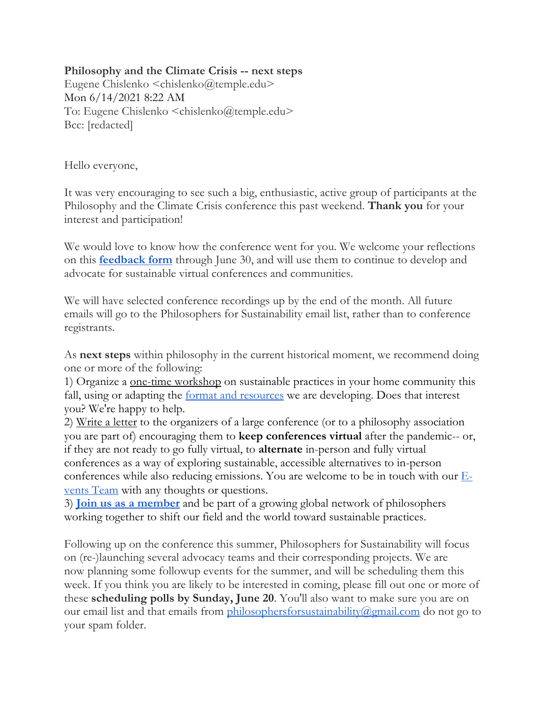## **Philosophy and the Climate Crisis -- next steps**

Eugene Chislenko <chislenko@temple.edu> Mon 6/14/2021 8:22 AM To: Eugene Chislenko <chislenko@temple.edu> Bcc: [redacted]

Hello everyone,

It was very encouraging to see such a big, enthusiastic, active group of participants at the Philosophy and the Climate Crisis conference this past weekend. **Thank you** for your interest and participation!

We would love to know how the conference went for you. We welcome your reflections on this **feedback form** through June 30, and will use them to continue to develop and advocate for sustainable virtual conferences and communities.

We will have selected conference recordings up by the end of the month. All future emails will go to the Philosophers for Sustainability email list, rather than to conference registrants.

As **next steps** within philosophy in the current historical moment, we recommend doing one or more of the following:

1) Organize a one-time workshop on sustainable practices in your home community this fall, using or adapting the **format and resources** we are developing. Does that interest you? We're happy to help.

2) Write a letter to the organizers of a large conference (or to a philosophy association you are part of) encouraging them to **keep conferences virtual** after the pandemic-- or, if they are not ready to go fully virtual, to **alternate** in-person and fully virtual conferences as a way of exploring sustainable, accessible alternatives to in-person conferences while also reducing emissions. You are welcome to be in touch with our  $E$ vents Team with any thoughts or questions.

3) **Join us as a member** and be part of a growing global network of philosophers working together to shift our field and the world toward sustainable practices.

Following up on the conference this summer, Philosophers for Sustainability will focus on (re-)launching several advocacy teams and their corresponding projects. We are now planning some followup events for the summer, and will be scheduling them this week. If you think you are likely to be interested in coming, please fill out one or more of these **scheduling polls by Sunday, June 20**. You'll also want to make sure you are on our email list and that emails from philosophersforsustainability@gmail.com do not go to your spam folder.